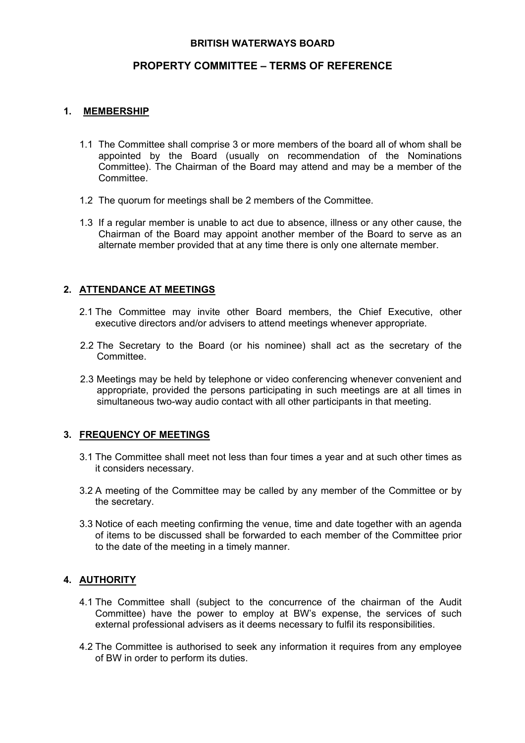### **BRITISH WATERWAYS BOARD**

# **PROPERTY COMMITTEE – TERMS OF REFERENCE**

### **1. MEMBERSHIP**

- 1.1 The Committee shall comprise 3 or more members of the board all of whom shall be appointed by the Board (usually on recommendation of the Nominations Committee). The Chairman of the Board may attend and may be a member of the Committee.
- 1.2 The quorum for meetings shall be 2 members of the Committee.
- 1.3 If a regular member is unable to act due to absence, illness or any other cause, the Chairman of the Board may appoint another member of the Board to serve as an alternate member provided that at any time there is only one alternate member.

## **2. ATTENDANCE AT MEETINGS**

- 2.1 The Committee may invite other Board members, the Chief Executive, other executive directors and/or advisers to attend meetings whenever appropriate.
- 2.2 The Secretary to the Board (or his nominee) shall act as the secretary of the Committee.
- 2.3 Meetings may be held by telephone or video conferencing whenever convenient and appropriate, provided the persons participating in such meetings are at all times in simultaneous two-way audio contact with all other participants in that meeting.

#### **3. FREQUENCY OF MEETINGS**

- 3.1 The Committee shall meet not less than four times a year and at such other times as it considers necessary.
- 3.2 A meeting of the Committee may be called by any member of the Committee or by the secretary.
- 3.3 Notice of each meeting confirming the venue, time and date together with an agenda of items to be discussed shall be forwarded to each member of the Committee prior to the date of the meeting in a timely manner.

## **4. AUTHORITY**

- 4.1 The Committee shall (subject to the concurrence of the chairman of the Audit Committee) have the power to employ at BW's expense, the services of such external professional advisers as it deems necessary to fulfil its responsibilities.
- 4.2 The Committee is authorised to seek any information it requires from any employee of BW in order to perform its duties.